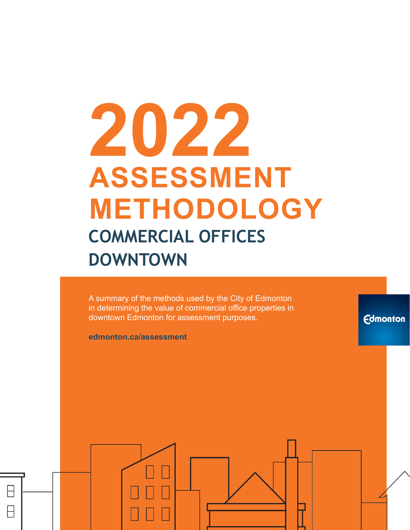# **2022 ASSESSMENT METHODOLOGY COMMERCIAL OFFICES DOWNTOWN**

A summary of the methods used by the City of Edmonton in determining the value of commercial office properties in downtown Edmonton for assessment purposes.

**Edmonton** 

**edmonton.ca/assessment**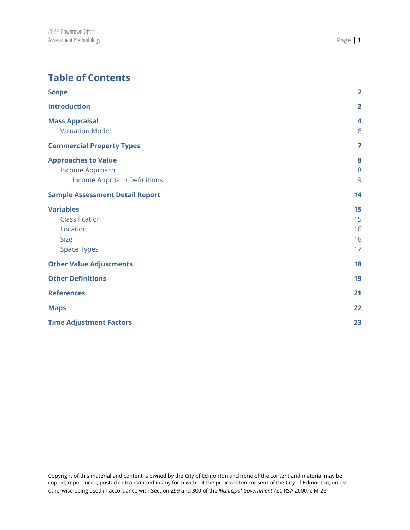## **Table of Contents**

| <b>Scope</b>                           | $\overline{2}$ |
|----------------------------------------|----------------|
| <b>Introduction</b>                    | $\overline{2}$ |
| <b>Mass Appraisal</b>                  | 4              |
| <b>Valuation Model</b>                 | 6              |
| <b>Commercial Property Types</b>       | $\overline{7}$ |
| <b>Approaches to Value</b>             | 8              |
| Income Approach                        | 8              |
| <b>Income Approach Definitions</b>     | 9              |
| <b>Sample Assessment Detail Report</b> | 14             |
| <b>Variables</b>                       | 15             |
| Classification                         | 15             |
| Location                               | 16             |
| <b>Size</b>                            | 16             |
| <b>Space Types</b>                     | 17             |
| <b>Other Value Adjustments</b>         | 18             |
| <b>Other Definitions</b>               | 19             |
| <b>References</b>                      | 21             |
| <b>Maps</b>                            | 22             |
| <b>Time Adjustment Factors</b>         | 23             |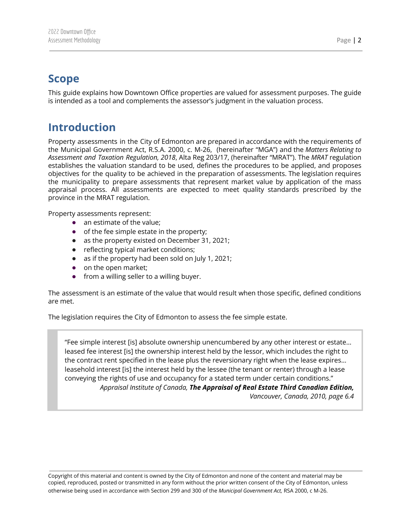## <span id="page-2-0"></span>**Scope**

<span id="page-2-1"></span>This guide explains how Downtown Office properties are valued for assessment purposes. The guide is intended as a tool and complements the assessor's judgment in the valuation process.

# **Introduction**

Property assessments in the City of Edmonton are prepared in accordance with the requirements of the Municipal Government Act, R.S.A. 2000, c. M-26, (hereinafter "MGA") and the *Matters Relating to Assessment and Taxation Regulation, 2018*, Alta Reg 203/17, (hereinafter "MRAT"). The *MRAT* regulation establishes the valuation standard to be used, defines the procedures to be applied, and proposes objectives for the quality to be achieved in the preparation of assessments. The legislation requires the municipality to prepare assessments that represent market value by application of the mass appraisal process. All assessments are expected to meet quality standards prescribed by the province in the MRAT regulation.

Property assessments represent:

- an estimate of the value;
- of the fee simple estate in the property;
- as the property existed on December 31, 2021;
- reflecting typical market conditions;
- as if the property had been sold on July 1, 2021;
- on the open market;
- from a willing seller to a willing buyer.

The assessment is an estimate of the value that would result when those specific, defined conditions are met.

The legislation requires the City of Edmonton to assess the fee simple estate.

"Fee simple interest [is] absolute ownership unencumbered by any other interest or estate… leased fee interest [is] the ownership interest held by the lessor, which includes the right to the contract rent specified in the lease plus the reversionary right when the lease expires… leasehold interest [is] the interest held by the lessee (the tenant or renter) through a lease conveying the rights of use and occupancy for a stated term under certain conditions." *Appraisal Institute of Canada, The Appraisal of Real Estate Third Canadian Edition, Vancouver, Canada, 2010, page 6.4*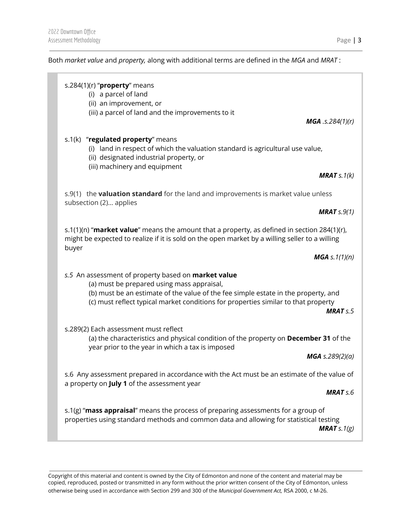#### Both *market value* and *property,* along with additional terms are defined in the *MGA* and *MRAT* :

| s.284(1)(r) " $proper$ y means<br>(i) a parcel of land<br>(ii) an improvement, or<br>(iii) a parcel of land and the improvements to it                                                                                                                                               |                            |
|--------------------------------------------------------------------------------------------------------------------------------------------------------------------------------------------------------------------------------------------------------------------------------------|----------------------------|
|                                                                                                                                                                                                                                                                                      | <b>MGA</b> .s.284 $(1)(r)$ |
| s.1(k) "regulated property" means<br>(i) land in respect of which the valuation standard is agricultural use value,<br>(ii) designated industrial property, or<br>(iii) machinery and equipment                                                                                      |                            |
|                                                                                                                                                                                                                                                                                      | <b>MRAT</b> $s.1(k)$       |
| s.9(1) the valuation standard for the land and improvements is market value unless<br>subsection (2) applies                                                                                                                                                                         |                            |
|                                                                                                                                                                                                                                                                                      | <b>MRAT</b> $s.9(1)$       |
| s.1(1)(n) "market value" means the amount that a property, as defined in section 284(1)(r),<br>might be expected to realize if it is sold on the open market by a willing seller to a willing                                                                                        |                            |
| buyer                                                                                                                                                                                                                                                                                | <b>MGA</b> s. $1(1)(n)$    |
| s.5 An assessment of property based on <b>market value</b><br>(a) must be prepared using mass appraisal,<br>(b) must be an estimate of the value of the fee simple estate in the property, and<br>(c) must reflect typical market conditions for properties similar to that property | MRATS.5                    |
| s.289(2) Each assessment must reflect<br>(a) the characteristics and physical condition of the property on December 31 of the<br>year prior to the year in which a tax is imposed                                                                                                    |                            |
|                                                                                                                                                                                                                                                                                      | <b>MGA</b> s.289(2)(a)     |
| s.6 Any assessment prepared in accordance with the Act must be an estimate of the value of<br>a property on July 1 of the assessment year                                                                                                                                            |                            |
|                                                                                                                                                                                                                                                                                      | <b>MRAT</b> s.6            |
| s.1(g) "mass appraisal" means the process of preparing assessments for a group of<br>properties using standard methods and common data and allowing for statistical testing                                                                                                          | <b>MRAT</b> s. $1(g)$      |
|                                                                                                                                                                                                                                                                                      |                            |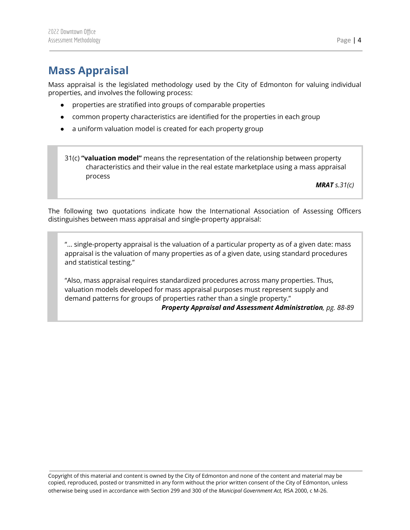# <span id="page-4-0"></span>**Mass Appraisal**

Mass appraisal is the legislated methodology used by the City of Edmonton for valuing individual properties, and involves the following process:

- properties are stratified into groups of comparable properties
- common property characteristics are identified for the properties in each group
- a uniform valuation model is created for each property group

31(c) **"valuation model"** means the representation of the relationship between property characteristics and their value in the real estate marketplace using a mass appraisal process

*MRAT s.31(c)*

The following two quotations indicate how the International Association of Assessing Officers distinguishes between mass appraisal and single-property appraisal:

"... single-property appraisal is the valuation of a particular property as of a given date: mass appraisal is the valuation of many properties as of a given date, using standard procedures and statistical testing."

"Also, mass appraisal requires standardized procedures across many properties. Thus, valuation models developed for mass appraisal purposes must represent supply and demand patterns for groups of properties rather than a single property." *Property Appraisal and Assessment Administration, pg. 88-89*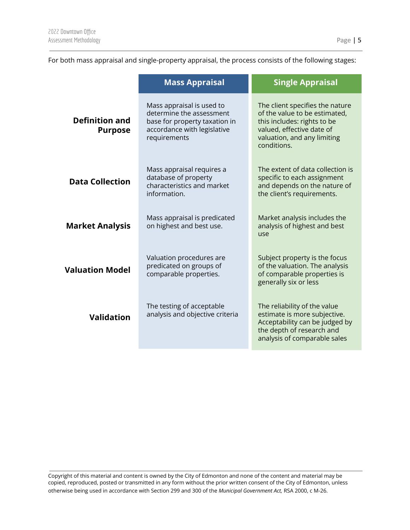For both mass appraisal and single-property appraisal, the process consists of the following stages:

|                                                                                   | <b>Mass Appraisal</b>                                                                                                                 | <b>Single Appraisal</b>                                                                                                                                                    |  |  |
|-----------------------------------------------------------------------------------|---------------------------------------------------------------------------------------------------------------------------------------|----------------------------------------------------------------------------------------------------------------------------------------------------------------------------|--|--|
| <b>Definition and</b><br><b>Purpose</b>                                           | Mass appraisal is used to<br>determine the assessment<br>base for property taxation in<br>accordance with legislative<br>requirements | The client specifies the nature<br>of the value to be estimated,<br>this includes: rights to be<br>valued, effective date of<br>valuation, and any limiting<br>conditions. |  |  |
| <b>Data Collection</b>                                                            | Mass appraisal requires a<br>database of property<br>characteristics and market<br>information.                                       | The extent of data collection is<br>specific to each assignment<br>and depends on the nature of<br>the client's requirements.                                              |  |  |
| <b>Market Analysis</b>                                                            | Mass appraisal is predicated<br>on highest and best use.                                                                              | Market analysis includes the<br>analysis of highest and best<br>use                                                                                                        |  |  |
| <b>Valuation Model</b>                                                            | Valuation procedures are<br>predicated on groups of<br>comparable properties.                                                         | Subject property is the focus<br>of the valuation. The analysis<br>of comparable properties is<br>generally six or less                                                    |  |  |
| The testing of acceptable<br>analysis and objective criteria<br><b>Validation</b> |                                                                                                                                       | The reliability of the value<br>estimate is more subjective.<br>Acceptability can be judged by<br>the depth of research and<br>analysis of comparable sales                |  |  |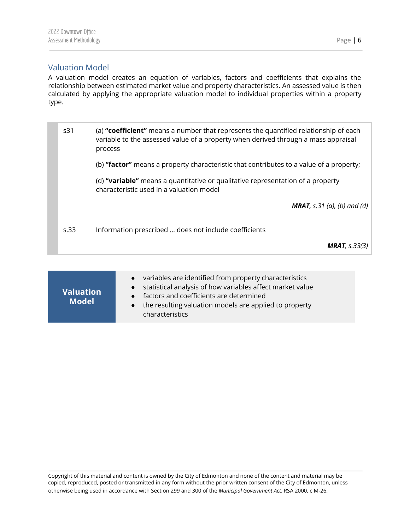#### <span id="page-6-0"></span>Valuation Model

A valuation model creates an equation of variables, factors and coefficients that explains the relationship between estimated market value and property characteristics. An assessed value is then calculated by applying the appropriate valuation model to individual properties within a property type.

s31 (a) **"coefficient"** means a number that represents the quantified relationship of each variable to the assessed value of a property when derived through a mass appraisal process (b) **"factor"** means a property characteristic that contributes to a value of a property; (d) **"variable"** means a quantitative or qualitative representation of a property characteristic used in a valuation model *MRAT, s.31 (a), (b) and (d)* s.33 Information prescribed … does not include coefficients *MRAT, s.33(3)*

| variables are identified from property characteristics<br>$\bullet$<br>statistical analysis of how variables affect market value<br>$\bullet$<br>• factors and coefficients are determined<br>the resulting valuation models are applied to property<br>$\bullet$<br>characteristics |
|--------------------------------------------------------------------------------------------------------------------------------------------------------------------------------------------------------------------------------------------------------------------------------------|
|                                                                                                                                                                                                                                                                                      |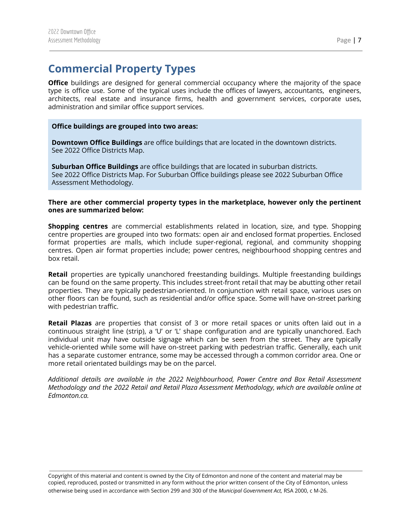# <span id="page-7-0"></span>**Commercial Property Types**

**Office** buildings are designed for general commercial occupancy where the majority of the space type is office use. Some of the typical uses include the offices of lawyers, accountants, engineers, architects, real estate and insurance firms, health and government services, corporate uses, administration and similar office support services.

#### **Office buildings are grouped into two areas:**

**Downtown Office Buildings** are office buildings that are located in the downtown districts. See 2022 Office Districts Map.

**Suburban Office Buildings** are office buildings that are located in suburban districts. See 2022 Office Districts Map. For Suburban Office buildings please see 2022 Suburban Office Assessment Methodology.

#### **There are other commercial property types in the marketplace, however only the pertinent ones are summarized below:**

**Shopping centres** are commercial establishments related in location, size, and type. Shopping centre properties are grouped into two formats: open air and enclosed format properties. Enclosed format properties are malls, which include super-regional, regional, and community shopping centres. Open air format properties include; power centres, neighbourhood shopping centres and box retail.

**Retail** properties are typically unanchored freestanding buildings. Multiple freestanding buildings can be found on the same property. This includes street-front retail that may be abutting other retail properties. They are typically pedestrian-oriented. In conjunction with retail space, various uses on other floors can be found, such as residential and/or office space. Some will have on-street parking with pedestrian traffic.

**Retail Plazas** are properties that consist of 3 or more retail spaces or units often laid out in a continuous straight line (strip), a 'U' or 'L' shape configuration and are typically unanchored. Each individual unit may have outside signage which can be seen from the street. They are typically vehicle-oriented while some will have on-street parking with pedestrian traffic. Generally, each unit has a separate customer entrance, some may be accessed through a common corridor area. One or more retail orientated buildings may be on the parcel.

*Additional details are available in the 2022 Neighbourhood, Power Centre and Box Retail Assessment Methodology and the 2022 Retail and Retail Plaza Assessment Methodology, which are available online at Edmonton.ca.*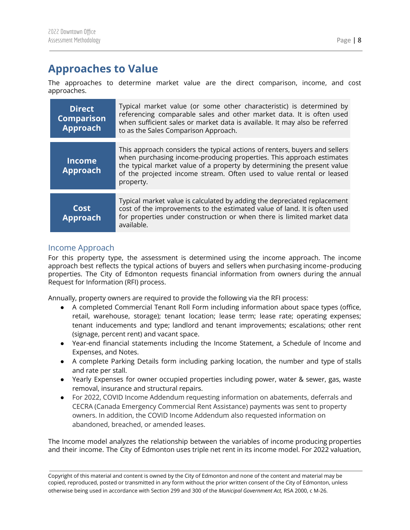# <span id="page-8-0"></span>**Approaches to Value**

The approaches to determine market value are the direct comparison, income, and cost approaches.

| <b>Direct</b><br><b>Comparison</b><br><b>Approach</b> | Typical market value (or some other characteristic) is determined by<br>referencing comparable sales and other market data. It is often used<br>when sufficient sales or market data is available. It may also be referred<br>to as the Sales Comparison Approach.                                                 |
|-------------------------------------------------------|--------------------------------------------------------------------------------------------------------------------------------------------------------------------------------------------------------------------------------------------------------------------------------------------------------------------|
| <b>Income</b><br><b>Approach</b>                      | This approach considers the typical actions of renters, buyers and sellers<br>when purchasing income-producing properties. This approach estimates<br>the typical market value of a property by determining the present value<br>of the projected income stream. Often used to value rental or leased<br>property. |
| Cost<br><b>Approach</b>                               | Typical market value is calculated by adding the depreciated replacement<br>cost of the improvements to the estimated value of land. It is often used<br>for properties under construction or when there is limited market data<br>available.                                                                      |

#### <span id="page-8-1"></span>Income Approach

For this property type, the assessment is determined using the income approach. The income approach best reflects the typical actions of buyers and sellers when purchasing income‐producing properties. The City of Edmonton requests financial information from owners during the annual Request for Information (RFI) process.

Annually, property owners are required to provide the following via the RFI process:

- A completed Commercial Tenant Roll Form including information about space types (office, retail, warehouse, storage); tenant location; lease term; lease rate; operating expenses; tenant inducements and type; landlord and tenant improvements; escalations; other rent (signage, percent rent) and vacant space.
- Year-end financial statements including the Income Statement, a Schedule of Income and Expenses, and Notes.
- A complete Parking Details form including parking location, the number and type of stalls and rate per stall.
- Yearly Expenses for owner occupied properties including power, water & sewer, gas, waste removal, insurance and structural repairs.
- For 2022, COVID Income Addendum requesting information on abatements, deferrals and CECRA (Canada Emergency Commercial Rent Assistance) payments was sent to property owners. In addition, the COVID Income Addendum also requested information on abandoned, breached, or amended leases.

The Income model analyzes the relationship between the variables of income producing properties and their income. The City of Edmonton uses triple net rent in its income model. For 2022 valuation,

Copyright of this material and content is owned by the City of Edmonton and none of the content and material may be copied, reproduced, posted or transmitted in any form without the prior written consent of the City of Edmonton, unless otherwise being used in accordance with Section 299 and 300 of the *Municipal Government Act,* RSA 2000, c M-26.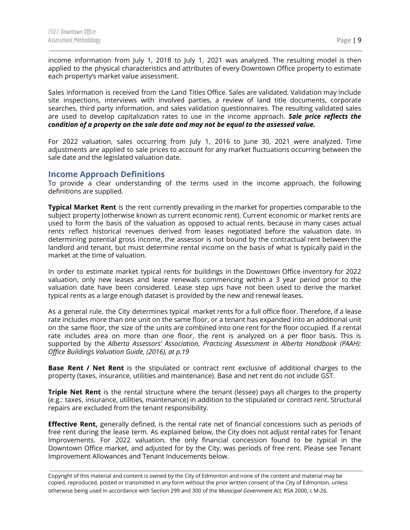income information from July 1, 2018 to July 1, 2021 was analyzed. The resulting model is then applied to the physical characteristics and attributes of every Downtown Office property to estimate each property's market value assessment.

Sales information is received from the Land Titles Office. Sales are validated. Validation may include site inspections, interviews with involved parties, a review of land title documents, corporate searches, third party information, and sales validation questionnaires. The resulting validated sales are used to develop capitalization rates to use in the income approach. *Sale price reflects the condition of a property on the sale date and may not be equal to the assessed value.*

For 2022 valuation, sales occurring from July 1, 2016 to June 30, 2021 were analyzed. Time adjustments are applied to sale prices to account for any market fluctuations occurring between the sale date and the legislated valuation date.

#### <span id="page-9-0"></span>**Income Approach Definitions**

To provide a clear understanding of the terms used in the income approach, the following definitions are supplied.

**Typical Market Rent** is the rent currently prevailing in the market for properties comparable to the subject property (otherwise known as current economic rent). Current economic or market rents are used to form the basis of the valuation as opposed to actual rents, because in many cases actual rents reflect historical revenues derived from leases negotiated before the valuation date. In determining potential gross income, the assessor is not bound by the contractual rent between the landlord and tenant, but must determine rental income on the basis of what is typically paid in the market at the time of valuation.

In order to estimate market typical rents for buildings in the Downtown Office inventory for 2022 valuation, only new leases and lease renewals commencing within a 3 year period prior to the valuation date have been considered. Lease step ups have not been used to derive the market typical rents as a large enough dataset is provided by the new and renewal leases.

As a general rule, the City determines typical market rents for a full office floor. Therefore, if a lease rate includes more than one unit on the same floor, or a tenant has expanded into an additional unit on the same floor, the size of the units are combined into one rent for the floor occupied. If a rental rate includes area on more than one floor, the rent is analyzed on a per floor basis. This is supported by the *Alberta Assessors' Association, Practicing Assessment in Alberta Handbook (PAAH): Office Buildings Valuation Guide, (2016), at p.19*

**Base Rent / Net Rent** is the stipulated or contract rent exclusive of additional charges to the property (taxes, insurance, utilities and maintenance). Base and net rent do not include GST.

**Triple Net Rent** is the rental structure where the tenant (lessee) pays all charges to the property (e.g.: taxes, insurance, utilities, maintenance) in addition to the stipulated or contract rent. Structural repairs are excluded from the tenant responsibility.

**Effective Rent,** generally defined, is the rental rate net of financial concessions such as periods of free rent during the lease term. As explained below, the City does not adjust rental rates for Tenant Improvements. For 2022 valuation, the only financial concession found to be typical in the Downtown Office market, and adjusted for by the City, was periods of free rent. Please see Tenant Improvement Allowances and Tenant Inducements below.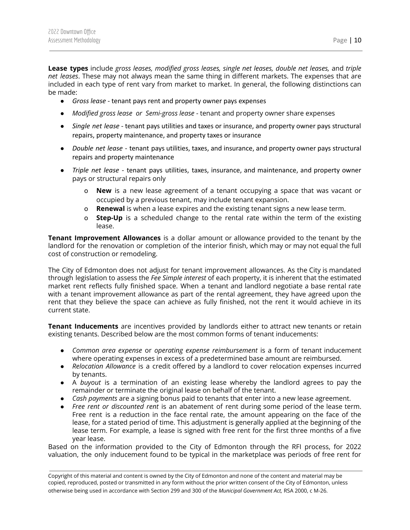**Lease types** include *gross leases, modified gross leases, single net leases, double net leases,* and *triple net leases*. These may not always mean the same thing in different markets. The expenses that are included in each type of rent vary from market to market. In general, the following distinctions can be made:

- *Gross lease* tenant pays rent and property owner pays expenses
- *Modified gross lease or Semi-gross lease* tenant and property owner share expenses
- *Single net lease* tenant pays utilities and taxes or insurance, and property owner pays structural repairs, property maintenance, and property taxes or insurance
- *Double net lease* tenant pays utilities, taxes, and insurance, and property owner pays structural repairs and property maintenance
- *Triple net lease* tenant pays utilities, taxes, insurance, and maintenance, and property owner pays or structural repairs only
	- o **New** is a new lease agreement of a tenant occupying a space that was vacant or occupied by a previous tenant, may include tenant expansion.
	- o **Renewal** is when a lease expires and the existing tenant signs a new lease term.
	- o **Step-Up** is a scheduled change to the rental rate within the term of the existing lease.

**Tenant Improvement Allowances** is a dollar amount or allowance provided to the tenant by the landlord for the renovation or completion of the interior finish, which may or may not equal the full cost of construction or remodeling.

The City of Edmonton does not adjust for tenant improvement allowances. As the City is mandated through legislation to assess the *Fee Simple interest* of each property, it is inherent that the estimated market rent reflects fully finished space. When a tenant and landlord negotiate a base rental rate with a tenant improvement allowance as part of the rental agreement, they have agreed upon the rent that they believe the space can achieve as fully finished, not the rent it would achieve in its current state.

**Tenant Inducements** are incentives provided by landlords either to attract new tenants or retain existing tenants. Described below are the most common forms of tenant inducements:

- *Common area expense* or *operating expense reimbursement* is a form of tenant inducement where operating expenses in excess of a predetermined base amount are reimbursed.
- *Relocation Allowance* is a credit offered by a landlord to cover relocation expenses incurred by tenants.
- A *buyout* is a termination of an existing lease whereby the landlord agrees to pay the remainder or terminate the original lease on behalf of the tenant.
- *Cash payments* are a signing bonus paid to tenants that enter into a new lease agreement.
- *Free rent or discounted rent* is an abatement of rent during some period of the lease term. Free rent is a reduction in the face rental rate, the amount appearing on the face of the lease, for a stated period of time. This adjustment is generally applied at the beginning of the lease term. For example, a lease is signed with free rent for the first three months of a five year lease.

Based on the information provided to the City of Edmonton through the RFI process, for 2022 valuation, the only inducement found to be typical in the marketplace was periods of free rent for

Copyright of this material and content is owned by the City of Edmonton and none of the content and material may be copied, reproduced, posted or transmitted in any form without the prior written consent of the City of Edmonton, unless otherwise being used in accordance with Section 299 and 300 of the *Municipal Government Act,* RSA 2000, c M-26.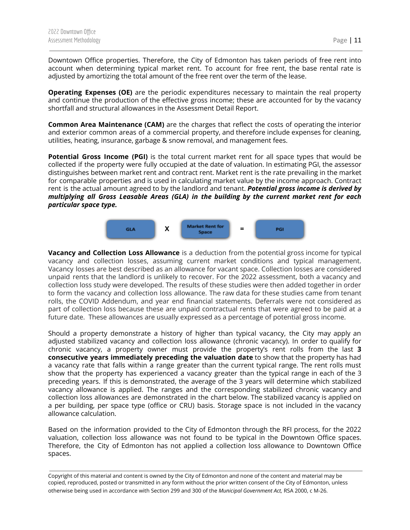Downtown Office properties. Therefore, the City of Edmonton has taken periods of free rent into account when determining typical market rent. To account for free rent, the base rental rate is adjusted by amortizing the total amount of the free rent over the term of the lease.

**Operating Expenses (OE)** are the periodic expenditures necessary to maintain the real property and continue the production of the effective gross income; these are accounted for by the vacancy shortfall and structural allowances in the Assessment Detail Report.

**Common Area Maintenance (CAM)** are the charges that reflect the costs of operating the interior and exterior common areas of a commercial property, and therefore include expenses for cleaning, utilities, heating, insurance, garbage & snow removal, and management fees.

**Potential Gross Income (PGI)** is the total current market rent for all space types that would be collected if the property were fully occupied at the date of valuation. In estimating PGI, the assessor distinguishes between market rent and contract rent. Market rent is the rate prevailing in the market for comparable properties and is used in calculating market value by the income approach. Contract rent is the actual amount agreed to by the landlord and tenant. *Potential gross income is derived by multiplying all Gross Leasable Areas (GLA) in the building by the current market rent for each particular space type.*



**Vacancy and Collection Loss Allowance** is a deduction from the potential gross income for typical vacancy and collection losses, assuming current market conditions and typical management. Vacancy losses are best described as an allowance for vacant space. Collection losses are considered unpaid rents that the landlord is unlikely to recover. For the 2022 assessment, both a vacancy and collection loss study were developed. The results of these studies were then added together in order to form the vacancy and collection loss allowance. The raw data for these studies came from tenant rolls, the COVID Addendum, and year end financial statements. Deferrals were not considered as part of collection loss because these are unpaid contractual rents that were agreed to be paid at a future date. These allowances are usually expressed as a percentage of potential gross income.

Should a property demonstrate a history of higher than typical vacancy, the City may apply an adjusted stabilized vacancy and collection loss allowance (chronic vacancy). In order to qualify for chronic vacancy, a property owner must provide the property's rent rolls from the last **3 consecutive years immediately preceding the valuation date** to show that the property has had a vacancy rate that falls within a range greater than the current typical range. The rent rolls must show that the property has experienced a vacancy greater than the typical range in each of the 3 preceding years. If this is demonstrated, the average of the 3 years will determine which stabilized vacancy allowance is applied. The ranges and the corresponding stabilized chronic vacancy and collection loss allowances are demonstrated in the chart below. The stabilized vacancy is applied on a per building, per space type (office or CRU) basis. Storage space is not included in the vacancy allowance calculation.

Based on the information provided to the City of Edmonton through the RFI process, for the 2022 valuation, collection loss allowance was not found to be typical in the Downtown Office spaces. Therefore, the City of Edmonton has not applied a collection loss allowance to Downtown Office spaces.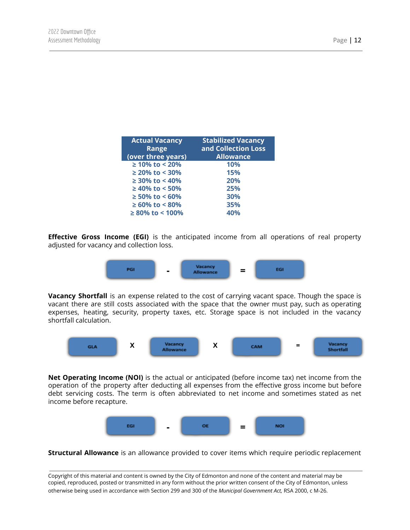| <b>Actual Vacancy</b><br><b>Range</b><br>(over three years) | <b>Stabilized Vacancy</b><br>and Collection Loss<br><b>Allowance</b> |
|-------------------------------------------------------------|----------------------------------------------------------------------|
| $\geq 10\%$ to < 20%                                        | 10%                                                                  |
| $\geq$ 20% to < 30%                                         | 15%                                                                  |
| $\geq$ 30% to < 40%                                         | 20%                                                                  |
| $\geq 40\%$ to < 50%                                        | 25%                                                                  |
| $\geq 50\%$ to < 60%                                        | 30%                                                                  |
| $\geq 60\%$ to < 80%                                        | 35%                                                                  |
| $\geq 80\%$ to < 100%                                       | 40%                                                                  |

**Effective Gross Income (EGI)** is the anticipated income from all operations of real property adjusted for vacancy and collection loss.



**Vacancy Shortfall** is an expense related to the cost of carrying vacant space. Though the space is vacant there are still costs associated with the space that the owner must pay, such as operating expenses, heating, security, property taxes, etc. Storage space is not included in the vacancy shortfall calculation.



**Net Operating Income (NOI)** is the actual or anticipated (before income tax) net income from the operation of the property after deducting all expenses from the effective gross income but before debt servicing costs. The term is often abbreviated to net income and sometimes stated as net income before recapture.



**Structural Allowance** is an allowance provided to cover items which require periodic replacement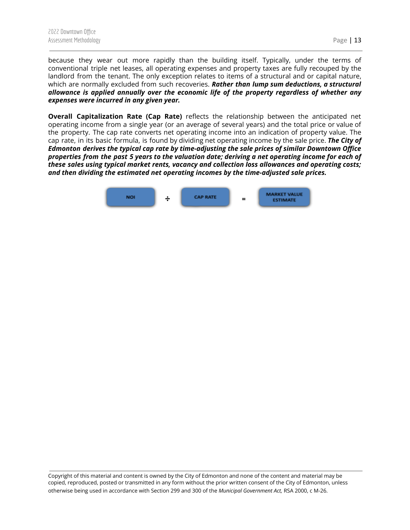because they wear out more rapidly than the building itself. Typically, under the terms of conventional triple net leases, all operating expenses and property taxes are fully recouped by the landlord from the tenant. The only exception relates to items of a structural and or capital nature, which are normally excluded from such recoveries. *Rather than lump sum deductions, a structural allowance is applied annually over the economic life of the property regardless of whether any expenses were incurred in any given year.*

**Overall Capitalization Rate (Cap Rate)** reflects the relationship between the anticipated net operating income from a single year (or an average of several years) and the total price or value of the property. The cap rate converts net operating income into an indication of property value. The cap rate, in its basic formula, is found by dividing net operating income by the sale price. *The City of Edmonton derives the typical cap rate by time-adjusting the sale prices of similar Downtown Office* properties from the past 5 years to the valuation date; deriving a net operating income for each of *these sales using typical market rents, vacancy and collection loss allowances and operating costs; and then dividing the estimated net operating incomes by the time-adjusted sale prices.*

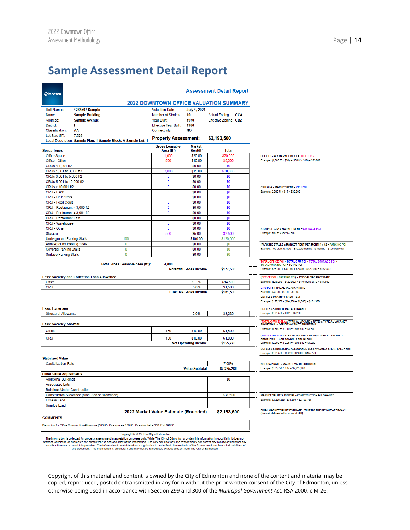# <span id="page-14-0"></span>**Sample Assessment Detail Report**

| <b>Edmonton</b>                                                                                                                                                                                                                                                                                                                                                                                                                                                                                                 |                                                                                                                     |                                       | <b>Assessment Detail Report</b>               |                                                                                                                  |
|-----------------------------------------------------------------------------------------------------------------------------------------------------------------------------------------------------------------------------------------------------------------------------------------------------------------------------------------------------------------------------------------------------------------------------------------------------------------------------------------------------------------|---------------------------------------------------------------------------------------------------------------------|---------------------------------------|-----------------------------------------------|------------------------------------------------------------------------------------------------------------------|
|                                                                                                                                                                                                                                                                                                                                                                                                                                                                                                                 |                                                                                                                     |                                       | <b>2022 DOWNTOWN OFFICE VALUATION SUMMARY</b> |                                                                                                                  |
| Roll Number:<br>1234567 Sample                                                                                                                                                                                                                                                                                                                                                                                                                                                                                  | <b>Valuation Date:</b>                                                                                              | <b>July 1, 2021</b>                   |                                               |                                                                                                                  |
| Name:<br><b>Sample Building</b>                                                                                                                                                                                                                                                                                                                                                                                                                                                                                 | Number of Stories:                                                                                                  | 10                                    | Actual Zoning: CCA                            |                                                                                                                  |
| Address:<br><b>Sample Avenue</b>                                                                                                                                                                                                                                                                                                                                                                                                                                                                                | Year Built:                                                                                                         | 1970                                  | Effective Zoning: CB2                         |                                                                                                                  |
| F<br>District:                                                                                                                                                                                                                                                                                                                                                                                                                                                                                                  | <b>Effective Year Built:</b>                                                                                        | 1980                                  |                                               |                                                                                                                  |
| <b>Classification:</b><br>АΑ                                                                                                                                                                                                                                                                                                                                                                                                                                                                                    | Connectivity:                                                                                                       | <b>NO</b>                             |                                               |                                                                                                                  |
| Lot Size (ft <sup>2</sup> ):<br>7,526                                                                                                                                                                                                                                                                                                                                                                                                                                                                           | <b>Property Assessment:</b>                                                                                         |                                       | \$2,193,500                                   |                                                                                                                  |
| Legal Description: Sample Plan: 1 Sample Block: A Sample Lot: 1                                                                                                                                                                                                                                                                                                                                                                                                                                                 |                                                                                                                     |                                       |                                               |                                                                                                                  |
| <b>Space Types</b>                                                                                                                                                                                                                                                                                                                                                                                                                                                                                              | <b>Gross Leasable</b><br>Area (ft <sup>2</sup> )                                                                    | <b>Market</b><br>Rent/ft <sup>2</sup> | Total                                         |                                                                                                                  |
| Office Space                                                                                                                                                                                                                                                                                                                                                                                                                                                                                                    | 1,000                                                                                                               | \$20.00                               | \$20,000                                      | <b>OFFICE GLA x MARKET RENT = OFFICE PGI</b>                                                                     |
| Office - Other                                                                                                                                                                                                                                                                                                                                                                                                                                                                                                  | 500                                                                                                                 | \$10.00                               | \$5,000                                       | Example: (1,000 ft <sup>2</sup> x \$20) + (500 ft <sup>2</sup> x \$10) = \$25,000                                |
| CRUs < 1,001 ft2                                                                                                                                                                                                                                                                                                                                                                                                                                                                                                | 0                                                                                                                   | \$0.00                                | \$0                                           |                                                                                                                  |
| CRUs 1.001 to 3.000 ft2                                                                                                                                                                                                                                                                                                                                                                                                                                                                                         | 2,000                                                                                                               | \$15.00                               | \$30,000                                      |                                                                                                                  |
| CRUs 3,001 to 5,000 ft2                                                                                                                                                                                                                                                                                                                                                                                                                                                                                         | 0                                                                                                                   | \$0.00                                | \$0                                           |                                                                                                                  |
| CRUs 5,001 to 10,000 ft2                                                                                                                                                                                                                                                                                                                                                                                                                                                                                        | 0                                                                                                                   | \$0.00                                | \$0                                           |                                                                                                                  |
| CRUs > 10,001 ft2                                                                                                                                                                                                                                                                                                                                                                                                                                                                                               | 0                                                                                                                   | \$0.00                                | \$0                                           | <b>CRU GLA x MARKET RENT = CRU PGI</b>                                                                           |
| <b>CRU - Bank</b>                                                                                                                                                                                                                                                                                                                                                                                                                                                                                               | 0                                                                                                                   | \$0.00                                | \$0                                           | Example: 2,000 ft <sup>2</sup> x \$15 = \$30,000                                                                 |
| CRU - Drug Store                                                                                                                                                                                                                                                                                                                                                                                                                                                                                                | 0<br>0                                                                                                              | \$0.00<br>\$0.00                      | \$0                                           |                                                                                                                  |
| CRU - Food Court                                                                                                                                                                                                                                                                                                                                                                                                                                                                                                | 0                                                                                                                   | \$0.00                                | \$0                                           |                                                                                                                  |
| CRU - Restaurant ≤ 3,000 ft2<br>CRU - Restaurant ≥ 3,001 ft2                                                                                                                                                                                                                                                                                                                                                                                                                                                    | 0                                                                                                                   | \$0.00                                | \$0<br>\$0                                    |                                                                                                                  |
| <b>CRU - Restaurant Fast</b>                                                                                                                                                                                                                                                                                                                                                                                                                                                                                    | 0                                                                                                                   | \$0.00                                | \$0                                           |                                                                                                                  |
| CRU - Warehouse                                                                                                                                                                                                                                                                                                                                                                                                                                                                                                 | 0                                                                                                                   | \$0.00                                | \$0                                           |                                                                                                                  |
| CRU - Other                                                                                                                                                                                                                                                                                                                                                                                                                                                                                                     | 0                                                                                                                   | \$0.00                                | \$0                                           | <b>STORAGE GLA x MARKET RENT = STORAGE PGI</b>                                                                   |
| Storage                                                                                                                                                                                                                                                                                                                                                                                                                                                                                                         | 500                                                                                                                 | \$5.00                                | \$2,500                                       | Example: 500 ft <sup>2</sup> x \$5 = \$2,500                                                                     |
| <b>Underground Parking Stalls</b><br>100                                                                                                                                                                                                                                                                                                                                                                                                                                                                        |                                                                                                                     | \$100.00                              | \$120,000                                     |                                                                                                                  |
| $\bf{0}$<br><b>Aboveground Parking Stalls</b>                                                                                                                                                                                                                                                                                                                                                                                                                                                                   |                                                                                                                     | \$0.00                                | \$0                                           | (PARKING STALLS x MARKET RENT PER MONTH) x 12 = PARKING PGI                                                      |
| <b>Covered Parking Stalls</b><br>0                                                                                                                                                                                                                                                                                                                                                                                                                                                                              |                                                                                                                     | \$0.00                                | \$0                                           | Example: 100 stalls x \$100 = \$10,000/month x 12 months = \$120,000/year                                        |
| <b>Surface Parking Stalls</b><br>0                                                                                                                                                                                                                                                                                                                                                                                                                                                                              |                                                                                                                     | \$0.00                                | \$0                                           |                                                                                                                  |
|                                                                                                                                                                                                                                                                                                                                                                                                                                                                                                                 |                                                                                                                     |                                       |                                               | TOTAL OFFICE PGI + TOTAL CRU PGI + TOTAL STORAGE PGI +                                                           |
| Total Gross Leasable Area (ft <sup>2</sup> ):                                                                                                                                                                                                                                                                                                                                                                                                                                                                   | 4,000                                                                                                               | <b>Potential Gross Income</b>         | \$177,500                                     | <b>TOTAL PARKING PGI = TOTAL PGI</b><br>Example: \$25,000 + \$30,000 + \$2,500 + \$120,000 = \$177,500           |
| <b>Less: Vacancy and Collection Loss Allowance</b>                                                                                                                                                                                                                                                                                                                                                                                                                                                              |                                                                                                                     |                                       |                                               | (OFFICE PGI + PARKING PGI) x TYPICAL VACANCY RATE                                                                |
| Office                                                                                                                                                                                                                                                                                                                                                                                                                                                                                                          |                                                                                                                     | 10.0%                                 | \$14,500                                      | Example: (\$25,000 + \$120,000) = \$145,000 x 0.10 = \$14,500                                                    |
| <b>CRU</b>                                                                                                                                                                                                                                                                                                                                                                                                                                                                                                      |                                                                                                                     | 5.0%                                  | \$1,500                                       | <b>CRU PGI x TYPICAL VACANCY RATE</b>                                                                            |
|                                                                                                                                                                                                                                                                                                                                                                                                                                                                                                                 |                                                                                                                     | <b>Effective Gross Income</b>         | \$161,500                                     | Example: \$30,000 x 0.05 = \$1,500                                                                               |
|                                                                                                                                                                                                                                                                                                                                                                                                                                                                                                                 |                                                                                                                     |                                       |                                               | <b>PGI LESS VACANCY LOSS = EGI</b><br>Example: \$177,500 - (\$14,500 + \$1,500) = \$161,500                      |
| <b>Less: Expenses</b>                                                                                                                                                                                                                                                                                                                                                                                                                                                                                           |                                                                                                                     |                                       |                                               | EGI LESS STRUCTURAL ALLOWANCE                                                                                    |
| <b>Structural Allowance</b>                                                                                                                                                                                                                                                                                                                                                                                                                                                                                     |                                                                                                                     | 2.0%                                  | \$3,230                                       | Example: \$161,500 x 0.02 = \$3,230                                                                              |
|                                                                                                                                                                                                                                                                                                                                                                                                                                                                                                                 |                                                                                                                     |                                       |                                               | (TOTAL OFFICE GLA x TYPICAL VACANCY RATE) x TYPICAL VACANCY                                                      |
| <b>Less: Vacancy Shortfall</b>                                                                                                                                                                                                                                                                                                                                                                                                                                                                                  |                                                                                                                     |                                       |                                               | SHORTFALL = OFFICE VACANCY SHORTFALL<br>Example: (1,500 ft <sup>2</sup> x 0.10) = 150 x \$10 = \$1,500           |
| Office                                                                                                                                                                                                                                                                                                                                                                                                                                                                                                          | 150                                                                                                                 | \$10.00                               | \$1,500                                       |                                                                                                                  |
| <b>CRU</b>                                                                                                                                                                                                                                                                                                                                                                                                                                                                                                      | 100                                                                                                                 | \$10.00                               | \$1,000                                       | (TOTAL CRU GLA x TYPICAL VACANCY RATE) x TYPICAL VACANCY<br><b>SHORTFALL = CRU VACANCY SHORTFALL</b>             |
|                                                                                                                                                                                                                                                                                                                                                                                                                                                                                                                 |                                                                                                                     | <b>Net Operating Income</b>           | \$155.770                                     | Example: (2,000 ft <sup>2</sup> x 0.05) = 100 x \$10 = \$1,000                                                   |
|                                                                                                                                                                                                                                                                                                                                                                                                                                                                                                                 |                                                                                                                     |                                       |                                               | EGI LESS STRUCTURAL ALLOWANCE LESS VACANCY SHORTFALL = NOI<br>Example: \$161,500 - \$3,230 - \$2,500 = \$155,770 |
| <b>Stabilized Value</b>                                                                                                                                                                                                                                                                                                                                                                                                                                                                                         |                                                                                                                     |                                       |                                               |                                                                                                                  |
| <b>Capitalization Rate</b>                                                                                                                                                                                                                                                                                                                                                                                                                                                                                      |                                                                                                                     |                                       | 7.00%                                         | NOI / CAP RATE = MARKET VALUE SUBTOTAL                                                                           |
|                                                                                                                                                                                                                                                                                                                                                                                                                                                                                                                 |                                                                                                                     | <b>Value Subtotal</b>                 | \$2,225,286                                   | Example: \$155,770 / 0.07 = \$2,225,286                                                                          |
| <b>Other Value Adjustments</b>                                                                                                                                                                                                                                                                                                                                                                                                                                                                                  |                                                                                                                     |                                       |                                               |                                                                                                                  |
| <b>Additional Buildings</b>                                                                                                                                                                                                                                                                                                                                                                                                                                                                                     |                                                                                                                     |                                       | \$0                                           |                                                                                                                  |
| <b>Associated Lots</b>                                                                                                                                                                                                                                                                                                                                                                                                                                                                                          |                                                                                                                     |                                       |                                               |                                                                                                                  |
| <b>Buildings Under Construction</b>                                                                                                                                                                                                                                                                                                                                                                                                                                                                             |                                                                                                                     |                                       |                                               |                                                                                                                  |
| Construction Allowance (Shell Space Allowance)                                                                                                                                                                                                                                                                                                                                                                                                                                                                  |                                                                                                                     |                                       | $- $31,500$                                   | MARKET VALUE SUBTOTAL - CONSTRUCTION ALLOWANCE                                                                   |
| <b>Excess Land</b>                                                                                                                                                                                                                                                                                                                                                                                                                                                                                              |                                                                                                                     |                                       |                                               | Example: \$2,225,286 - \$31,500 = \$2,193,786                                                                    |
| <b>Surplus Land</b>                                                                                                                                                                                                                                                                                                                                                                                                                                                                                             |                                                                                                                     |                                       |                                               |                                                                                                                  |
| <b>COMMENTS</b>                                                                                                                                                                                                                                                                                                                                                                                                                                                                                                 | 2022 Market Value Estimate (Rounded)                                                                                |                                       | \$2,193,500                                   | FINAL MARKET VALUE ESTIMATE UTILIZING THE INCOME APPROACH<br>(Rounded down to the nearest 500)                   |
|                                                                                                                                                                                                                                                                                                                                                                                                                                                                                                                 |                                                                                                                     |                                       |                                               |                                                                                                                  |
| Deduction for Office Construction Allowance (500 ft <sup>2</sup> office space - 150 ft <sup>2</sup> office shortfall = 350 ft <sup>2</sup> at \$90/ft <sup>2</sup>                                                                                                                                                                                                                                                                                                                                              |                                                                                                                     |                                       |                                               |                                                                                                                  |
| Copyright @ 2022 The City of Edmonton                                                                                                                                                                                                                                                                                                                                                                                                                                                                           |                                                                                                                     |                                       |                                               |                                                                                                                  |
| The information is collected for property assessment interpretation purposes only. While The City of Edmonton provides this information in good faith, it does not<br>warrant, covenant, or guarantee the completeness and accuracy of the information. The City does not assume responsibility nor accept any liability arising from any<br>use other than assessment interpretation. The information is maintained on a regular basis and reflects the contents of the Assessment per the stated date/time of | this document. This information is proprietary and may not be reproduced without consent from The City of Edmonton. |                                       |                                               |                                                                                                                  |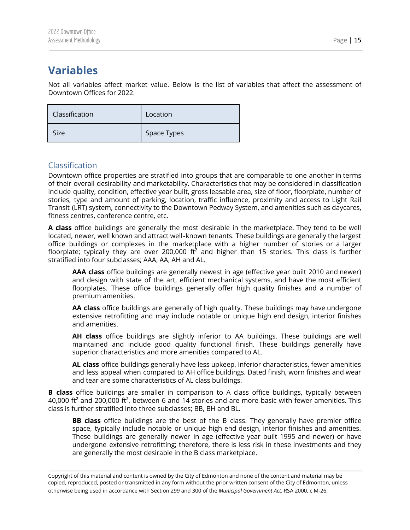# <span id="page-15-0"></span>**Variables**

Not all variables affect market value. Below is the list of variables that affect the assessment of Downtown Offices for 2022.

| Classification | Location    |
|----------------|-------------|
| Size           | Space Types |

#### <span id="page-15-1"></span>Classification

Downtown office properties are stratified into groups that are comparable to one another in terms of their overall desirability and marketability. Characteristics that may be considered in classification include quality, condition, effective year built, gross leasable area, size of floor, floorplate, number of stories, type and amount of parking, location, traffic influence, proximity and access to Light Rail Transit (LRT) system, connectivity to the Downtown Pedway System, and amenities such as daycares, fitness centres, conference centre, etc.

**A class** office buildings are generally the most desirable in the marketplace. They tend to be well located, newer, well known and attract well‐known tenants. These buildings are generally the largest office buildings or complexes in the marketplace with a higher number of stories or a larger floorplate; typically they are over 200,000  $\text{ft}^2$  and higher than 15 stories. This class is further stratified into four subclasses; AAA, AA, AH and AL.

**AAA class** office buildings are generally newest in age (effective year built 2010 and newer) and design with state of the art, efficient mechanical systems, and have the most efficient floorplates. These office buildings generally offer high quality finishes and a number of premium amenities.

**AA class** office buildings are generally of high quality. These buildings may have undergone extensive retrofitting and may include notable or unique high end design, interior finishes and amenities.

**AH class** office buildings are slightly inferior to AA buildings. These buildings are well maintained and include good quality functional finish. These buildings generally have superior characteristics and more amenities compared to AL.

**AL class** office buildings generally have less upkeep, inferior characteristics, fewer amenities and less appeal when compared to AH office buildings. Dated finish, worn finishes and wear and tear are some characteristics of AL class buildings.

**B class** office buildings are smaller in comparison to A class office buildings, typically between 40,000 ft<sup>2</sup> and 200,000 ft<sup>2</sup>, between 6 and 14 stories and are more basic with fewer amenities. This class is further stratified into three subclasses; BB, BH and BL.

**BB class** office buildings are the best of the B class. They generally have premier office space, typically include notable or unique high end design, interior finishes and amenities. These buildings are generally newer in age (effective year built 1995 and newer) or have undergone extensive retrofitting; therefore, there is less risk in these investments and they are generally the most desirable in the B class marketplace.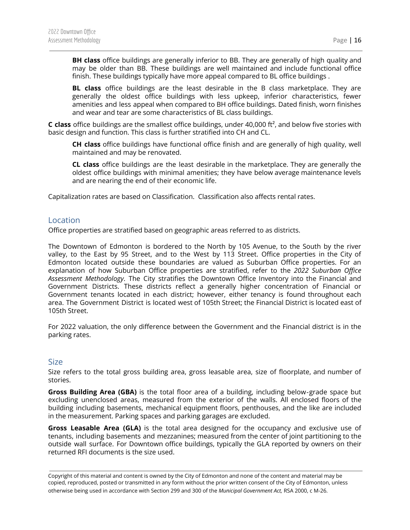**BH class** office buildings are generally inferior to BB. They are generally of high quality and may be older than BB. These buildings are well maintained and include functional office finish. These buildings typically have more appeal compared to BL office buildings .

**BL class** office buildings are the least desirable in the B class marketplace. They are generally the oldest office buildings with less upkeep, inferior characteristics, fewer amenities and less appeal when compared to BH office buildings. Dated finish, worn finishes and wear and tear are some characteristics of BL class buildings.

**C class** office buildings are the smallest office buildings, under 40,000 ft², and below five stories with basic design and function. This class is further stratified into CH and CL.

**CH class** office buildings have functional office finish and are generally of high quality, well maintained and may be renovated.

**CL class** office buildings are the least desirable in the marketplace. They are generally the oldest office buildings with minimal amenities; they have below average maintenance levels and are nearing the end of their economic life.

Capitalization rates are based on Classification. Classification also affects rental rates.

#### <span id="page-16-0"></span>**Location**

Office properties are stratified based on geographic areas referred to as districts.

The Downtown of Edmonton is bordered to the North by 105 Avenue, to the South by the river valley, to the East by 95 Street, and to the West by 113 Street. Office properties in the City of Edmonton located outside these boundaries are valued as Suburban Office properties. For an explanation of how Suburban Office properties are stratified, refer to the *2022 Suburban Office Assessment Methodology*. The City stratifies the Downtown Office Inventory into the Financial and Government Districts. These districts reflect a generally higher concentration of Financial or Government tenants located in each district; however, either tenancy is found throughout each area. The Government District is located west of 105th Street; the Financial District is located east of 105th Street.

For 2022 valuation, the only difference between the Government and the Financial district is in the parking rates.

#### <span id="page-16-1"></span>Size

Size refers to the total gross building area, gross leasable area, size of floorplate, and number of stories.

**Gross Building Area (GBA)** is the total floor area of a building, including below‐grade space but excluding unenclosed areas, measured from the exterior of the walls. All enclosed floors of the building including basements, mechanical equipment floors, penthouses, and the like are included in the measurement. Parking spaces and parking garages are excluded.

**Gross Leasable Area (GLA)** is the total area designed for the occupancy and exclusive use of tenants, including basements and mezzanines; measured from the center of joint partitioning to the outside wall surface. For Downtown office buildings, typically the GLA reported by owners on their returned RFI documents is the size used.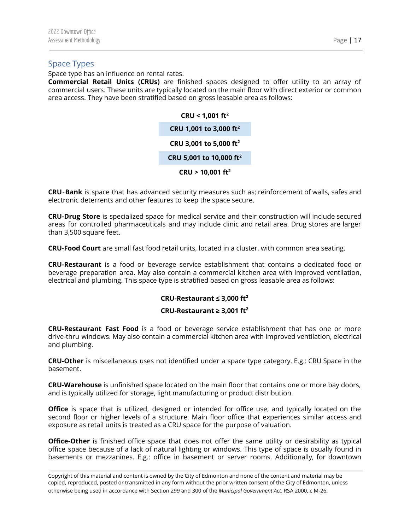#### <span id="page-17-0"></span>Space Types

Space type has an influence on rental rates.

**Commercial Retail Units (CRUs)** are finished spaces designed to offer utility to an array of commercial users. These units are typically located on the main floor with direct exterior or common area access. They have been stratified based on gross leasable area as follows:

> **CRU < 1,001 ft 2 CRU 1,001 to 3,000 ft 2 CRU 3,001 to 5,000 ft 2 CRU 5,001 to 10,000 ft 2 CRU > 10,001 ft 2**

**CRU**‐**Bank** is space that has advanced security measures such as; reinforcement of walls, safes and electronic deterrents and other features to keep the space secure.

**CRU-Drug Store** is specialized space for medical service and their construction will include secured areas for controlled pharmaceuticals and may include clinic and retail area. Drug stores are larger than 3,500 square feet.

**CRU-Food Court** are small fast food retail units, located in a cluster, with common area seating.

**CRU-Restaurant** is a food or beverage service establishment that contains a dedicated food or beverage preparation area. May also contain a commercial kitchen area with improved ventilation, electrical and plumbing. This space type is stratified based on gross leasable area as follows:

#### **CRU-Restaurant ≤ 3,000 ft²**

#### **CRU-Restaurant ≥ 3,001 ft²**

**CRU-Restaurant Fast Food** is a food or beverage service establishment that has one or more drive-thru windows. May also contain a commercial kitchen area with improved ventilation, electrical and plumbing.

**CRU-Other** is miscellaneous uses not identified under a space type category. E.g.: CRU Space in the basement.

**CRU-Warehouse** is unfinished space located on the main floor that contains one or more bay doors, and is typically utilized for storage, light manufacturing or product distribution.

**Office** is space that is utilized, designed or intended for office use, and typically located on the second floor or higher levels of a structure. Main floor office that experiences similar access and exposure as retail units is treated as a CRU space for the purpose of valuation.

**Office-Other** is finished office space that does not offer the same utility or desirability as typical office space because of a lack of natural lighting or windows. This type of space is usually found in basements or mezzanines. E.g.: office in basement or server rooms. Additionally, for downtown

Copyright of this material and content is owned by the City of Edmonton and none of the content and material may be copied, reproduced, posted or transmitted in any form without the prior written consent of the City of Edmonton, unless otherwise being used in accordance with Section 299 and 300 of the *Municipal Government Act,* RSA 2000, c M-26.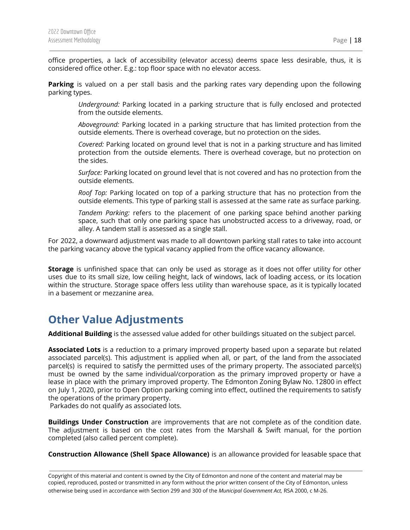office properties, a lack of accessibility (elevator access) deems space less desirable, thus, it is considered office other. E.g.: top floor space with no elevator access.

**Parking** is valued on a per stall basis and the parking rates vary depending upon the following parking types.

*Underground:* Parking located in a parking structure that is fully enclosed and protected from the outside elements.

*Aboveground:* Parking located in a parking structure that has limited protection from the outside elements. There is overhead coverage, but no protection on the sides.

*Covered:* Parking located on ground level that is not in a parking structure and has limited protection from the outside elements. There is overhead coverage, but no protection on the sides.

*Surface:* Parking located on ground level that is not covered and has no protection from the outside elements.

*Roof Top:* Parking located on top of a parking structure that has no protection from the outside elements. This type of parking stall is assessed at the same rate as surface parking.

*Tandem Parking:* refers to the placement of one parking space behind another parking space, such that only one parking space has unobstructed access to a driveway, road, or alley. A tandem stall is assessed as a single stall.

For 2022, a downward adjustment was made to all downtown parking stall rates to take into account the parking vacancy above the typical vacancy applied from the office vacancy allowance.

**Storage** is unfinished space that can only be used as storage as it does not offer utility for other uses due to its small size, low ceiling height, lack of windows, lack of loading access, or its location within the structure. Storage space offers less utility than warehouse space, as it is typically located in a basement or mezzanine area.

## <span id="page-18-0"></span>**Other Value Adjustments**

**Additional Building** is the assessed value added for other buildings situated on the subject parcel.

**Associated Lots** is a reduction to a primary improved property based upon a separate but related associated parcel(s). This adjustment is applied when all, or part, of the land from the associated parcel(s) is required to satisfy the permitted uses of the primary property. The associated parcel(s) must be owned by the same individual/corporation as the primary improved property or have a lease in place with the primary improved property. The Edmonton Zoning Bylaw No. 12800 in effect on July 1, 2020, prior to Open Option parking coming into effect, outlined the requirements to satisfy the operations of the primary property.

Parkades do not qualify as associated lots.

**Buildings Under Construction** are improvements that are not complete as of the condition date. The adjustment is based on the cost rates from the Marshall & Swift manual, for the portion completed (also called percent complete).

**Construction Allowance (Shell Space Allowance)** is an allowance provided for leasable space that

Copyright of this material and content is owned by the City of Edmonton and none of the content and material may be copied, reproduced, posted or transmitted in any form without the prior written consent of the City of Edmonton, unless otherwise being used in accordance with Section 299 and 300 of the *Municipal Government Act,* RSA 2000, c M-26.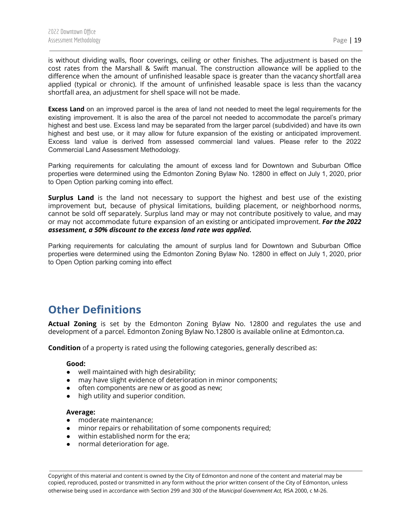is without dividing walls, floor coverings, ceiling or other finishes. The adjustment is based on the cost rates from the Marshall & Swift manual. The construction allowance will be applied to the difference when the amount of unfinished leasable space is greater than the vacancy shortfall area applied (typical or chronic). If the amount of unfinished leasable space is less than the vacancy shortfall area, an adjustment for shell space will not be made.

**Excess Land** on an improved parcel is the area of land not needed to meet the legal requirements for the existing improvement. It is also the area of the parcel not needed to accommodate the parcel's primary highest and best use. Excess land may be separated from the larger parcel (subdivided) and have its own highest and best use, or it may allow for future expansion of the existing or anticipated improvement. Excess land value is derived from assessed commercial land values. Please refer to the 2022 Commercial Land Assessment Methodology.

Parking requirements for calculating the amount of excess land for Downtown and Suburban Office properties were determined using the Edmonton Zoning Bylaw No. 12800 in effect on July 1, 2020, prior to Open Option parking coming into effect.

**Surplus Land** is the land not necessary to support the highest and best use of the existing improvement but, because of physical limitations, building placement, or neighborhood norms, cannot be sold off separately. Surplus land may or may not contribute positively to value, and may or may not accommodate future expansion of an existing or anticipated improvement. *For the 2022 assessment, a 50% discount to the excess land rate was applied.*

Parking requirements for calculating the amount of surplus land for Downtown and Suburban Office properties were determined using the Edmonton Zoning Bylaw No. 12800 in effect on July 1, 2020, prior to Open Option parking coming into effect

# <span id="page-19-0"></span>**Other Definitions**

**Actual Zoning** is set by the Edmonton Zoning Bylaw No. 12800 and regulates the use and development of a parcel. Edmonton Zoning Bylaw No.12800 is available online at Edmonton.ca.

**Condition** of a property is rated using the following categories, generally described as:

#### **Good:**

- well maintained with high desirability;
- may have slight evidence of deterioration in minor components;
- often components are new or as good as new;
- high utility and superior condition.

#### **Average:**

- moderate maintenance;
- minor repairs or rehabilitation of some components required;
- within established norm for the era;
- normal deterioration for age.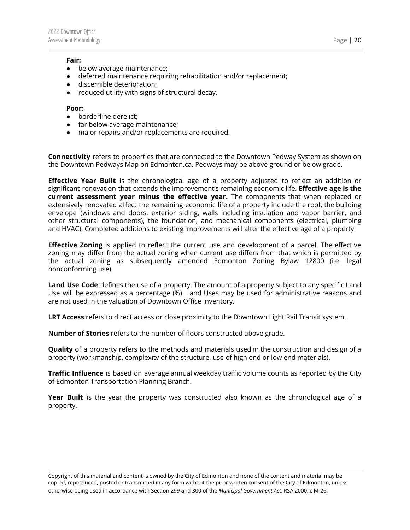#### **Fair:**

- below average maintenance;
- deferred maintenance requiring rehabilitation and/or replacement;
- discernible deterioration;
- reduced utility with signs of structural decay.

#### **Poor:**

- borderline derelict;
- far below average maintenance;
- major repairs and/or replacements are required.

**Connectivity** refers to properties that are connected to the Downtown Pedway System as shown on the Downtown Pedways Map on Edmonton.ca. Pedways may be above ground or below grade.

**Effective Year Built** is the chronological age of a property adjusted to reflect an addition or significant renovation that extends the improvement's remaining economic life. **Effective age is the current assessment year minus the effective year.** The components that when replaced or extensively renovated affect the remaining economic life of a property include the roof, the building envelope (windows and doors, exterior siding, walls including insulation and vapor barrier, and other structural components), the foundation, and mechanical components (electrical, plumbing and HVAC). Completed additions to existing improvements will alter the effective age of a property.

**Effective Zoning** is applied to reflect the current use and development of a parcel. The effective zoning may differ from the actual zoning when current use differs from that which is permitted by the actual zoning as subsequently amended Edmonton Zoning Bylaw 12800 (i.e. legal nonconforming use).

**Land Use Code** defines the use of a property. The amount of a property subject to any specific Land Use will be expressed as a percentage (%). Land Uses may be used for administrative reasons and are not used in the valuation of Downtown Office Inventory.

**LRT Access** refers to direct access or close proximity to the Downtown Light Rail Transit system.

**Number of Stories** refers to the number of floors constructed above grade.

**Quality** of a property refers to the methods and materials used in the construction and design of a property (workmanship, complexity of the structure, use of high end or low end materials).

**Traffic Influence** is based on average annual weekday traffic volume counts as reported by the City of Edmonton Transportation Planning Branch.

**Year Built** is the year the property was constructed also known as the chronological age of a property.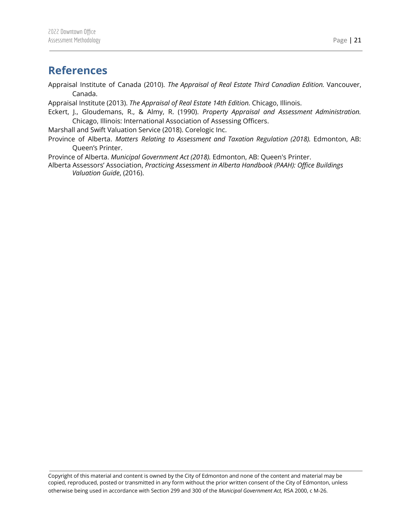### <span id="page-21-0"></span>**References**

Appraisal Institute of Canada (2010). *The Appraisal of Real Estate Third Canadian Edition.* Vancouver, Canada.

Appraisal Institute (2013). *The Appraisal of Real Estate 14th Edition.* Chicago, Illinois.

Eckert, J., Gloudemans, R., & Almy, R. (1990). *Property Appraisal and Assessment Administration.* Chicago, Illinois: International Association of Assessing Officers.

Marshall and Swift Valuation Service (2018). Corelogic Inc.

Province of Alberta. *Matters Relating to Assessment and Taxation Regulation (2018).* Edmonton, AB: Queen's Printer.

Province of Alberta. *Municipal Government Act (2018).* Edmonton, AB: Queen's Printer.

Alberta Assessors' Association, *Practicing Assessment in Alberta Handbook (PAAH): Office Buildings Valuation Guide*, (2016).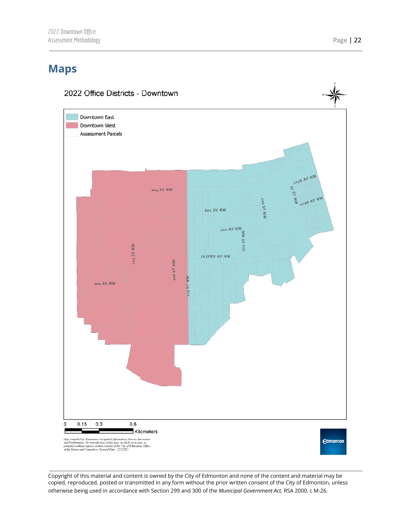# <span id="page-22-0"></span>**Maps**